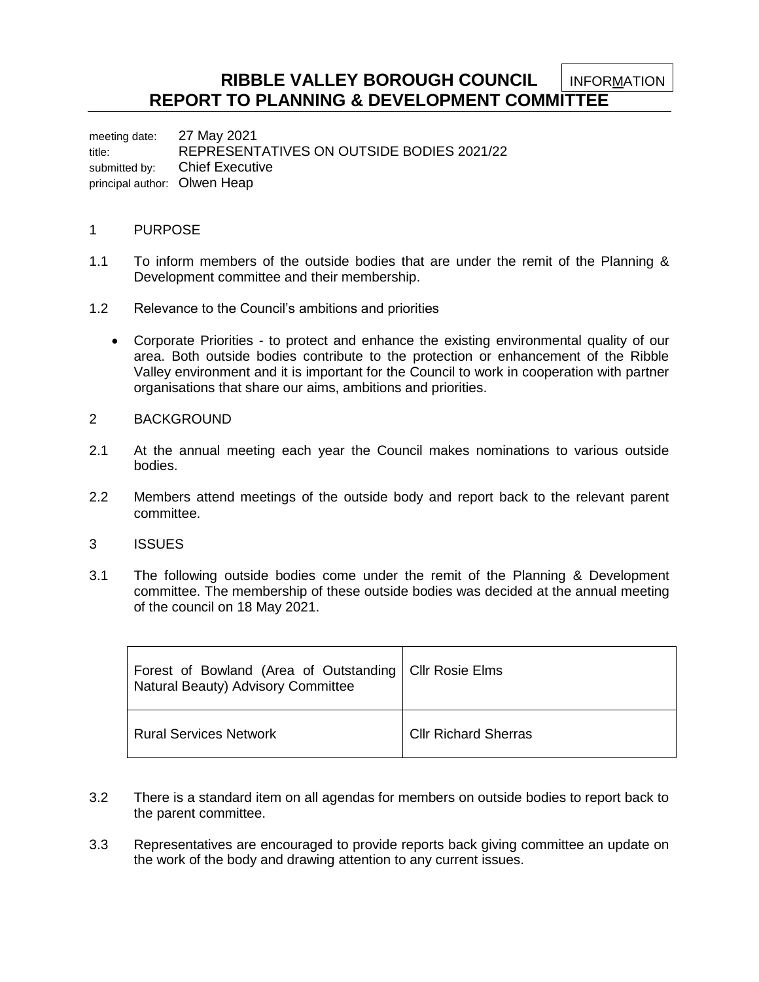**RIBBLE VALLEY BOROUGH COUNCIL REPORT TO PLANNING & DEVELOPMENT COMMITTEE** INFORMATION

meeting date: 27 May 2021 title: REPRESENTATIVES ON OUTSIDE BODIES 2021/22 submitted by: Chief Executive principal author: Olwen Heap

## 1 PURPOSE

- 1.1 To inform members of the outside bodies that are under the remit of the Planning & Development committee and their membership.
- 1.2 Relevance to the Council's ambitions and priorities
	- Corporate Priorities to protect and enhance the existing environmental quality of our area. Both outside bodies contribute to the protection or enhancement of the Ribble Valley environment and it is important for the Council to work in cooperation with partner organisations that share our aims, ambitions and priorities.
- 2 BACKGROUND
- 2.1 At the annual meeting each year the Council makes nominations to various outside bodies.
- 2.2 Members attend meetings of the outside body and report back to the relevant parent committee.
- 3 ISSUES
- 3.1 The following outside bodies come under the remit of the Planning & Development committee. The membership of these outside bodies was decided at the annual meeting of the council on 18 May 2021.

| Forest of Bowland (Area of Outstanding   Cllr Rosie Elms<br>Natural Beauty) Advisory Committee |                             |
|------------------------------------------------------------------------------------------------|-----------------------------|
| <b>Rural Services Network</b>                                                                  | <b>CIIr Richard Sherras</b> |

- 3.2 There is a standard item on all agendas for members on outside bodies to report back to the parent committee.
- 3.3 Representatives are encouraged to provide reports back giving committee an update on the work of the body and drawing attention to any current issues.